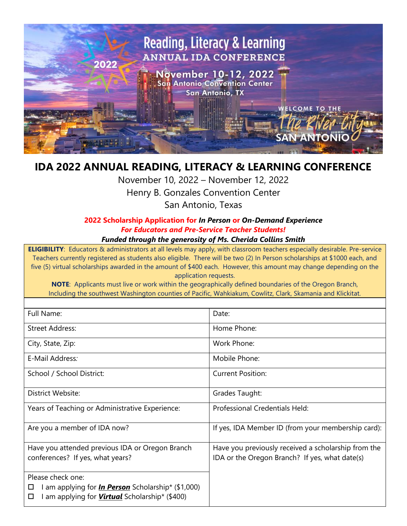

## **IDA 2022 ANNUAL READING, LITERACY & LEARNING CONFERENCE**

November 10, 2022 – November 12, 2022 Henry B. Gonzales Convention Center San Antonio, Texas

## **2022 Scholarship Application for** *In Person* **or** *On-Demand Experience For Educators and Pre-Service Teacher Students! Funded through the generosity of Ms. Cherida Collins Smith*

**ELIGIBILITY**: Educators & administrators at all levels may apply, with classroom teachers especially desirable. Pre-service Teachers currently registered as students also eligible. There will be two (2) In Person scholarships at \$1000 each, and five (5) virtual scholarships awarded in the amount of \$400 each. However, this amount may change depending on the application requests.

**NOTE**: Applicants must live or work within the geographically defined boundaries of the Oregon Branch, Including the southwest Washington counties of Pacific, Wahkiakum, Cowlitz, Clark, Skamania and Klickitat.

| Full Name:                                                                                                                                        | Date:                                                                                                 |
|---------------------------------------------------------------------------------------------------------------------------------------------------|-------------------------------------------------------------------------------------------------------|
| Street Address:                                                                                                                                   | Home Phone:                                                                                           |
| City, State, Zip:                                                                                                                                 | Work Phone:                                                                                           |
| E-Mail Address:                                                                                                                                   | Mobile Phone:                                                                                         |
| School / School District:                                                                                                                         | <b>Current Position:</b>                                                                              |
| <b>District Website:</b>                                                                                                                          | Grades Taught:                                                                                        |
| Years of Teaching or Administrative Experience:                                                                                                   | Professional Credentials Held:                                                                        |
| Are you a member of IDA now?                                                                                                                      | If yes, IDA Member ID (from your membership card):                                                    |
| Have you attended previous IDA or Oregon Branch<br>conferences? If yes, what years?                                                               | Have you previously received a scholarship from the<br>IDA or the Oregon Branch? If yes, what date(s) |
| Please check one:<br>I am applying for <i>In Person</i> Scholarship* (\$1,000)<br>ப<br>l am applying for <i>Virtual</i> Scholarship* (\$400)<br>□ |                                                                                                       |